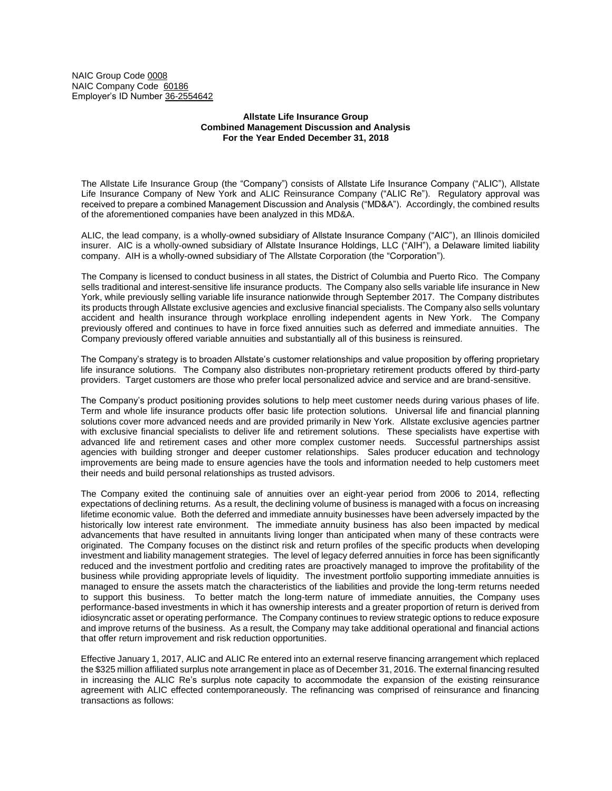NAIC Group Code 0008 NAIC Company Code 60186 Employer's ID Number 36-2554642

## **Allstate Life Insurance Group Combined Management Discussion and Analysis For the Year Ended December 31, 2018**

The Allstate Life Insurance Group (the "Company") consists of Allstate Life Insurance Company ("ALIC"), Allstate Life Insurance Company of New York and ALIC Reinsurance Company ("ALIC Re"). Regulatory approval was received to prepare a combined Management Discussion and Analysis ("MD&A"). Accordingly, the combined results of the aforementioned companies have been analyzed in this MD&A.

ALIC, the lead company, is a wholly-owned subsidiary of Allstate Insurance Company ("AIC"), an Illinois domiciled insurer. AIC is a wholly-owned subsidiary of Allstate Insurance Holdings, LLC ("AIH"), a Delaware limited liability company. AIH is a wholly-owned subsidiary of The Allstate Corporation (the "Corporation").

The Company is licensed to conduct business in all states, the District of Columbia and Puerto Rico. The Company sells traditional and interest-sensitive life insurance products. The Company also sells variable life insurance in New York, while previously selling variable life insurance nationwide through September 2017. The Company distributes its products through Allstate exclusive agencies and exclusive financial specialists. The Company also sells voluntary accident and health insurance through workplace enrolling independent agents in New York. The Company previously offered and continues to have in force fixed annuities such as deferred and immediate annuities. The Company previously offered variable annuities and substantially all of this business is reinsured.

The Company's strategy is to broaden Allstate's customer relationships and value proposition by offering proprietary life insurance solutions. The Company also distributes non-proprietary retirement products offered by third-party providers. Target customers are those who prefer local personalized advice and service and are brand-sensitive.

The Company's product positioning provides solutions to help meet customer needs during various phases of life. Term and whole life insurance products offer basic life protection solutions. Universal life and financial planning solutions cover more advanced needs and are provided primarily in New York. Allstate exclusive agencies partner with exclusive financial specialists to deliver life and retirement solutions. These specialists have expertise with advanced life and retirement cases and other more complex customer needs. Successful partnerships assist agencies with building stronger and deeper customer relationships. Sales producer education and technology improvements are being made to ensure agencies have the tools and information needed to help customers meet their needs and build personal relationships as trusted advisors.

The Company exited the continuing sale of annuities over an eight-year period from 2006 to 2014, reflecting expectations of declining returns. As a result, the declining volume of business is managed with a focus on increasing lifetime economic value. Both the deferred and immediate annuity businesses have been adversely impacted by the historically low interest rate environment. The immediate annuity business has also been impacted by medical advancements that have resulted in annuitants living longer than anticipated when many of these contracts were originated. The Company focuses on the distinct risk and return profiles of the specific products when developing investment and liability management strategies. The level of legacy deferred annuities in force has been significantly reduced and the investment portfolio and crediting rates are proactively managed to improve the profitability of the business while providing appropriate levels of liquidity. The investment portfolio supporting immediate annuities is managed to ensure the assets match the characteristics of the liabilities and provide the long-term returns needed to support this business. To better match the long-term nature of immediate annuities, the Company uses performance-based investments in which it has ownership interests and a greater proportion of return is derived from idiosyncratic asset or operating performance. The Company continues to review strategic options to reduce exposure and improve returns of the business. As a result, the Company may take additional operational and financial actions that offer return improvement and risk reduction opportunities.

Effective January 1, 2017, ALIC and ALIC Re entered into an external reserve financing arrangement which replaced the \$325 million affiliated surplus note arrangement in place as of December 31, 2016. The external financing resulted in increasing the ALIC Re's surplus note capacity to accommodate the expansion of the existing reinsurance agreement with ALIC effected contemporaneously. The refinancing was comprised of reinsurance and financing transactions as follows: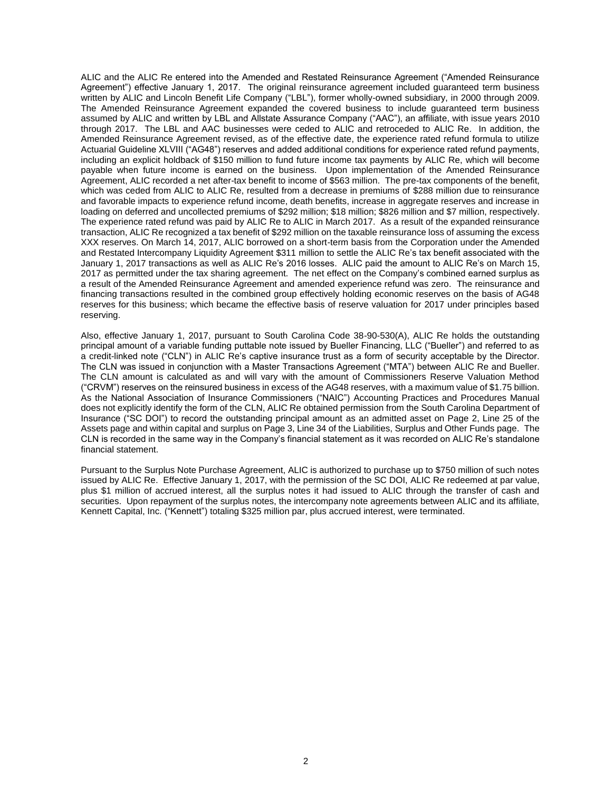ALIC and the ALIC Re entered into the Amended and Restated Reinsurance Agreement ("Amended Reinsurance Agreement") effective January 1, 2017. The original reinsurance agreement included guaranteed term business written by ALIC and Lincoln Benefit Life Company ("LBL"), former wholly-owned subsidiary, in 2000 through 2009. The Amended Reinsurance Agreement expanded the covered business to include guaranteed term business assumed by ALIC and written by LBL and Allstate Assurance Company ("AAC"), an affiliate, with issue years 2010 through 2017. The LBL and AAC businesses were ceded to ALIC and retroceded to ALIC Re. In addition, the Amended Reinsurance Agreement revised, as of the effective date, the experience rated refund formula to utilize Actuarial Guideline XLVIII ("AG48") reserves and added additional conditions for experience rated refund payments, including an explicit holdback of \$150 million to fund future income tax payments by ALIC Re, which will become payable when future income is earned on the business. Upon implementation of the Amended Reinsurance Agreement, ALIC recorded a net after-tax benefit to income of \$563 million. The pre-tax components of the benefit, which was ceded from ALIC to ALIC Re, resulted from a decrease in premiums of \$288 million due to reinsurance and favorable impacts to experience refund income, death benefits, increase in aggregate reserves and increase in loading on deferred and uncollected premiums of \$292 million; \$18 million; \$826 million and \$7 million, respectively. The experience rated refund was paid by ALIC Re to ALIC in March 2017. As a result of the expanded reinsurance transaction, ALIC Re recognized a tax benefit of \$292 million on the taxable reinsurance loss of assuming the excess XXX reserves. On March 14, 2017, ALIC borrowed on a short-term basis from the Corporation under the Amended and Restated Intercompany Liquidity Agreement \$311 million to settle the ALIC Re's tax benefit associated with the January 1, 2017 transactions as well as ALIC Re's 2016 losses. ALIC paid the amount to ALIC Re's on March 15, 2017 as permitted under the tax sharing agreement. The net effect on the Company's combined earned surplus as a result of the Amended Reinsurance Agreement and amended experience refund was zero. The reinsurance and financing transactions resulted in the combined group effectively holding economic reserves on the basis of AG48 reserves for this business; which became the effective basis of reserve valuation for 2017 under principles based reserving.

Also, effective January 1, 2017, pursuant to South Carolina Code 38-90-530(A), ALIC Re holds the outstanding principal amount of a variable funding puttable note issued by Bueller Financing, LLC ("Bueller") and referred to as a credit-linked note ("CLN") in ALIC Re's captive insurance trust as a form of security acceptable by the Director. The CLN was issued in conjunction with a Master Transactions Agreement ("MTA") between ALIC Re and Bueller. The CLN amount is calculated as and will vary with the amount of Commissioners Reserve Valuation Method ("CRVM") reserves on the reinsured business in excess of the AG48 reserves, with a maximum value of \$1.75 billion. As the National Association of Insurance Commissioners ("NAIC") Accounting Practices and Procedures Manual does not explicitly identify the form of the CLN, ALIC Re obtained permission from the South Carolina Department of Insurance ("SC DOI") to record the outstanding principal amount as an admitted asset on Page 2, Line 25 of the Assets page and within capital and surplus on Page 3, Line 34 of the Liabilities, Surplus and Other Funds page. The CLN is recorded in the same way in the Company's financial statement as it was recorded on ALIC Re's standalone financial statement.

Pursuant to the Surplus Note Purchase Agreement, ALIC is authorized to purchase up to \$750 million of such notes issued by ALIC Re. Effective January 1, 2017, with the permission of the SC DOI, ALIC Re redeemed at par value, plus \$1 million of accrued interest, all the surplus notes it had issued to ALIC through the transfer of cash and securities. Upon repayment of the surplus notes, the intercompany note agreements between ALIC and its affiliate, Kennett Capital, Inc. ("Kennett") totaling \$325 million par, plus accrued interest, were terminated.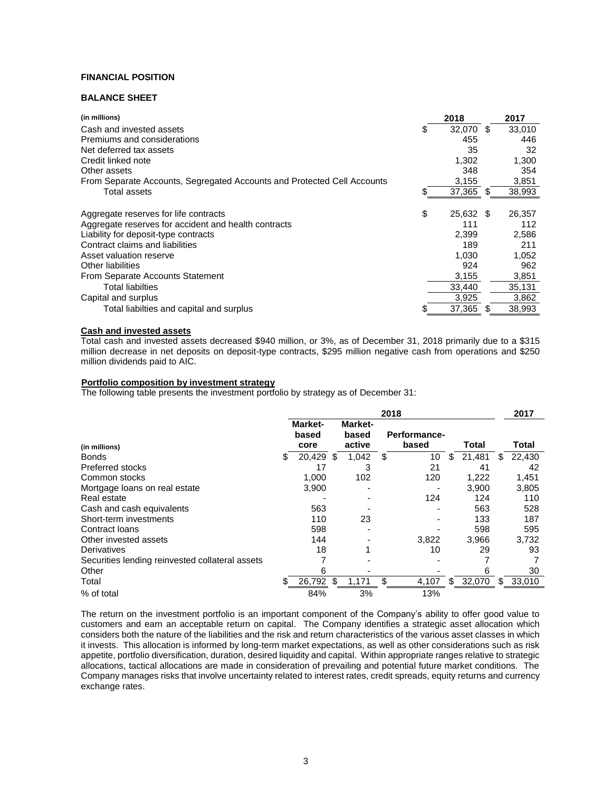# **FINANCIAL POSITION**

# **BALANCE SHEET**

| (in millions)                                                           | 2018            |   | 2017   |
|-------------------------------------------------------------------------|-----------------|---|--------|
| Cash and invested assets                                                | 32.070          | S | 33,010 |
| Premiums and considerations                                             | 455             |   | 446    |
| Net deferred tax assets                                                 | 35              |   | 32     |
| Credit linked note                                                      | 1,302           |   | 1,300  |
| Other assets                                                            | 348             |   | 354    |
| From Separate Accounts, Segregated Accounts and Protected Cell Accounts | 3,155           |   | 3,851  |
| Total assets                                                            | 37,365 \$       |   | 38,993 |
|                                                                         |                 |   |        |
| Aggregate reserves for life contracts                                   | \$<br>25,632 \$ |   | 26,357 |
| Aggregate reserves for accident and health contracts                    | 111             |   | 112    |
| Liability for deposit-type contracts                                    | 2,399           |   | 2,586  |
| Contract claims and liabilities                                         | 189             |   | 211    |
| Asset valuation reserve                                                 | 1,030           |   | 1,052  |
| Other liabilities                                                       | 924             |   | 962    |
| From Separate Accounts Statement                                        | 3,155           |   | 3,851  |
| Total liabilties                                                        | 33,440          |   | 35,131 |
| Capital and surplus                                                     | 3,925           |   | 3,862  |
| Total liabilties and capital and surplus                                | 37,365          | S | 38,993 |

# **Cash and invested assets**

Total cash and invested assets decreased \$940 million, or 3%, as of December 31, 2018 primarily due to a \$315 million decrease in net deposits on deposit-type contracts, \$295 million negative cash from operations and \$250 million dividends paid to AIC.

#### **Portfolio composition by investment strategy**

The following table presents the investment portfolio by strategy as of December 31:

|                                                 | 2018 |                          |    |                            |    |                       |    | 2017   |   |        |
|-------------------------------------------------|------|--------------------------|----|----------------------------|----|-----------------------|----|--------|---|--------|
| (in millions)                                   |      | Market-<br>based<br>core |    | Market-<br>based<br>active |    | Performance-<br>based |    | Total  |   | Total  |
| <b>Bonds</b>                                    | S.   | 20,429                   | -S | 1,042                      | \$ | 10                    | S. | 21,481 | S | 22,430 |
| <b>Preferred stocks</b>                         |      | 17                       |    | 3                          |    | 21                    |    | 41     |   | 42     |
| Common stocks                                   |      | 1.000                    |    | 102                        |    | 120                   |    | 1.222  |   | 1,451  |
| Mortgage loans on real estate                   |      | 3.900                    |    |                            |    |                       |    | 3.900  |   | 3,805  |
| Real estate                                     |      |                          |    |                            |    | 124                   |    | 124    |   | 110    |
| Cash and cash equivalents                       |      | 563                      |    |                            |    |                       |    | 563    |   | 528    |
| Short-term investments                          |      | 110                      |    | 23                         |    |                       |    | 133    |   | 187    |
| Contract Ioans                                  |      | 598                      |    |                            |    |                       |    | 598    |   | 595    |
| Other invested assets                           |      | 144                      |    |                            |    | 3,822                 |    | 3,966  |   | 3,732  |
| Derivatives                                     |      | 18                       |    |                            |    | 10                    |    | 29     |   | 93     |
| Securities lending reinvested collateral assets |      |                          |    |                            |    |                       |    |        |   |        |
| Other                                           |      | 6                        |    |                            |    |                       |    | b      |   | 30     |
| Total                                           | \$.  | 26,792                   | \$ | 1,171                      | \$ | 4,107                 | S. | 32,070 | S | 33,010 |
| % of total                                      |      | 84%                      |    | 3%                         |    | 13%                   |    |        |   |        |

The return on the investment portfolio is an important component of the Company's ability to offer good value to customers and earn an acceptable return on capital. The Company identifies a strategic asset allocation which considers both the nature of the liabilities and the risk and return characteristics of the various asset classes in which it invests. This allocation is informed by long-term market expectations, as well as other considerations such as risk appetite, portfolio diversification, duration, desired liquidity and capital. Within appropriate ranges relative to strategic allocations, tactical allocations are made in consideration of prevailing and potential future market conditions. The Company manages risks that involve uncertainty related to interest rates, credit spreads, equity returns and currency exchange rates.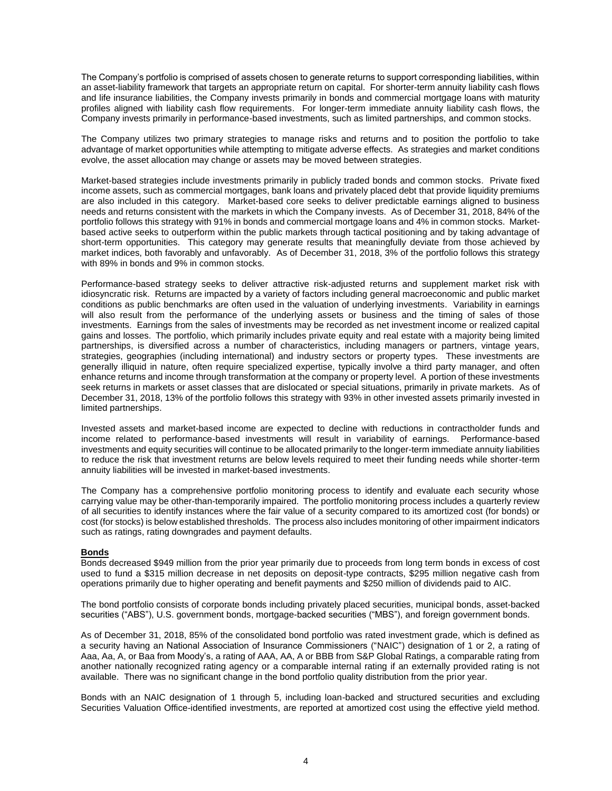The Company's portfolio is comprised of assets chosen to generate returns to support corresponding liabilities, within an asset-liability framework that targets an appropriate return on capital. For shorter-term annuity liability cash flows and life insurance liabilities, the Company invests primarily in bonds and commercial mortgage loans with maturity profiles aligned with liability cash flow requirements. For longer-term immediate annuity liability cash flows, the Company invests primarily in performance-based investments, such as limited partnerships, and common stocks.

The Company utilizes two primary strategies to manage risks and returns and to position the portfolio to take advantage of market opportunities while attempting to mitigate adverse effects. As strategies and market conditions evolve, the asset allocation may change or assets may be moved between strategies.

Market-based strategies include investments primarily in publicly traded bonds and common stocks. Private fixed income assets, such as commercial mortgages, bank loans and privately placed debt that provide liquidity premiums are also included in this category. Market-based core seeks to deliver predictable earnings aligned to business needs and returns consistent with the markets in which the Company invests. As of December 31, 2018, 84% of the portfolio follows this strategy with 91% in bonds and commercial mortgage loans and 4% in common stocks. Marketbased active seeks to outperform within the public markets through tactical positioning and by taking advantage of short-term opportunities. This category may generate results that meaningfully deviate from those achieved by market indices, both favorably and unfavorably. As of December 31, 2018, 3% of the portfolio follows this strategy with 89% in bonds and 9% in common stocks.

Performance-based strategy seeks to deliver attractive risk-adjusted returns and supplement market risk with idiosyncratic risk. Returns are impacted by a variety of factors including general macroeconomic and public market conditions as public benchmarks are often used in the valuation of underlying investments. Variability in earnings will also result from the performance of the underlying assets or business and the timing of sales of those investments. Earnings from the sales of investments may be recorded as net investment income or realized capital gains and losses. The portfolio, which primarily includes private equity and real estate with a majority being limited partnerships, is diversified across a number of characteristics, including managers or partners, vintage years, strategies, geographies (including international) and industry sectors or property types. These investments are generally illiquid in nature, often require specialized expertise, typically involve a third party manager, and often enhance returns and income through transformation at the company or property level. A portion of these investments seek returns in markets or asset classes that are dislocated or special situations, primarily in private markets. As of December 31, 2018, 13% of the portfolio follows this strategy with 93% in other invested assets primarily invested in limited partnerships.

Invested assets and market-based income are expected to decline with reductions in contractholder funds and income related to performance-based investments will result in variability of earnings. Performance-based investments and equity securities will continue to be allocated primarily to the longer-term immediate annuity liabilities to reduce the risk that investment returns are below levels required to meet their funding needs while shorter-term annuity liabilities will be invested in market-based investments.

The Company has a comprehensive portfolio monitoring process to identify and evaluate each security whose carrying value may be other-than-temporarily impaired. The portfolio monitoring process includes a quarterly review of all securities to identify instances where the fair value of a security compared to its amortized cost (for bonds) or cost (for stocks) is below established thresholds. The process also includes monitoring of other impairment indicators such as ratings, rating downgrades and payment defaults.

# **Bonds**

Bonds decreased \$949 million from the prior year primarily due to proceeds from long term bonds in excess of cost used to fund a \$315 million decrease in net deposits on deposit-type contracts, \$295 million negative cash from operations primarily due to higher operating and benefit payments and \$250 million of dividends paid to AIC.

The bond portfolio consists of corporate bonds including privately placed securities, municipal bonds, asset-backed securities ("ABS"), U.S. government bonds, mortgage-backed securities ("MBS"), and foreign government bonds.

As of December 31, 2018, 85% of the consolidated bond portfolio was rated investment grade, which is defined as a security having an National Association of Insurance Commissioners ("NAIC") designation of 1 or 2, a rating of Aaa, Aa, A, or Baa from Moody's, a rating of AAA, AA, A or BBB from S&P Global Ratings, a comparable rating from another nationally recognized rating agency or a comparable internal rating if an externally provided rating is not available. There was no significant change in the bond portfolio quality distribution from the prior year.

Bonds with an NAIC designation of 1 through 5, including loan-backed and structured securities and excluding Securities Valuation Office-identified investments, are reported at amortized cost using the effective yield method.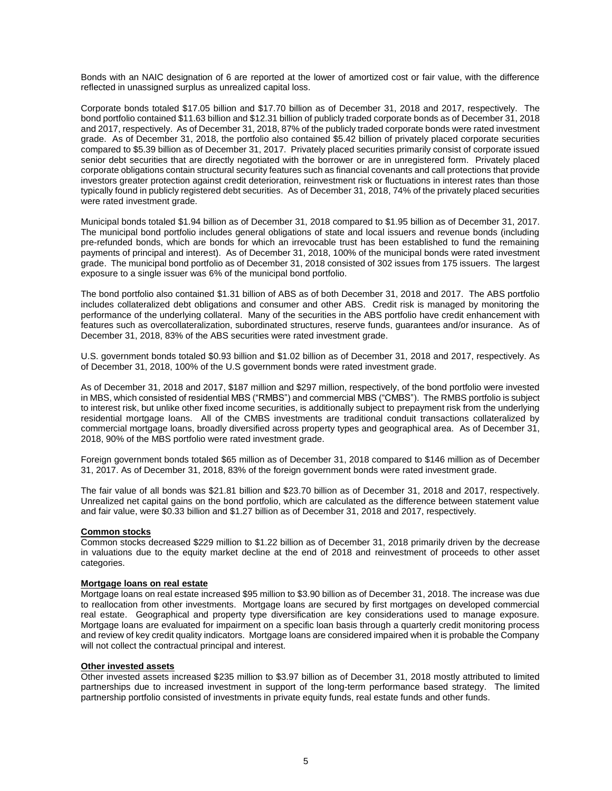Bonds with an NAIC designation of 6 are reported at the lower of amortized cost or fair value, with the difference reflected in unassigned surplus as unrealized capital loss.

Corporate bonds totaled \$17.05 billion and \$17.70 billion as of December 31, 2018 and 2017, respectively. The bond portfolio contained \$11.63 billion and \$12.31 billion of publicly traded corporate bonds as of December 31, 2018 and 2017, respectively. As of December 31, 2018, 87% of the publicly traded corporate bonds were rated investment grade. As of December 31, 2018, the portfolio also contained \$5.42 billion of privately placed corporate securities compared to \$5.39 billion as of December 31, 2017. Privately placed securities primarily consist of corporate issued senior debt securities that are directly negotiated with the borrower or are in unregistered form. Privately placed corporate obligations contain structural security features such as financial covenants and call protections that provide investors greater protection against credit deterioration, reinvestment risk or fluctuations in interest rates than those typically found in publicly registered debt securities. As of December 31, 2018, 74% of the privately placed securities were rated investment grade.

Municipal bonds totaled \$1.94 billion as of December 31, 2018 compared to \$1.95 billion as of December 31, 2017. The municipal bond portfolio includes general obligations of state and local issuers and revenue bonds (including pre-refunded bonds, which are bonds for which an irrevocable trust has been established to fund the remaining payments of principal and interest). As of December 31, 2018, 100% of the municipal bonds were rated investment grade. The municipal bond portfolio as of December 31, 2018 consisted of 302 issues from 175 issuers. The largest exposure to a single issuer was 6% of the municipal bond portfolio.

The bond portfolio also contained \$1.31 billion of ABS as of both December 31, 2018 and 2017. The ABS portfolio includes collateralized debt obligations and consumer and other ABS. Credit risk is managed by monitoring the performance of the underlying collateral. Many of the securities in the ABS portfolio have credit enhancement with features such as overcollateralization, subordinated structures, reserve funds, guarantees and/or insurance. As of December 31, 2018, 83% of the ABS securities were rated investment grade.

U.S. government bonds totaled \$0.93 billion and \$1.02 billion as of December 31, 2018 and 2017, respectively. As of December 31, 2018, 100% of the U.S government bonds were rated investment grade.

As of December 31, 2018 and 2017, \$187 million and \$297 million, respectively, of the bond portfolio were invested in MBS, which consisted of residential MBS ("RMBS") and commercial MBS ("CMBS"). The RMBS portfolio is subject to interest risk, but unlike other fixed income securities, is additionally subject to prepayment risk from the underlying residential mortgage loans. All of the CMBS investments are traditional conduit transactions collateralized by commercial mortgage loans, broadly diversified across property types and geographical area. As of December 31, 2018, 90% of the MBS portfolio were rated investment grade.

Foreign government bonds totaled \$65 million as of December 31, 2018 compared to \$146 million as of December 31, 2017. As of December 31, 2018, 83% of the foreign government bonds were rated investment grade.

The fair value of all bonds was \$21.81 billion and \$23.70 billion as of December 31, 2018 and 2017, respectively. Unrealized net capital gains on the bond portfolio, which are calculated as the difference between statement value and fair value, were \$0.33 billion and \$1.27 billion as of December 31, 2018 and 2017, respectively.

#### **Common stocks**

Common stocks decreased \$229 million to \$1.22 billion as of December 31, 2018 primarily driven by the decrease in valuations due to the equity market decline at the end of 2018 and reinvestment of proceeds to other asset categories.

## **Mortgage loans on real estate**

Mortgage loans on real estate increased \$95 million to \$3.90 billion as of December 31, 2018. The increase was due to reallocation from other investments. Mortgage loans are secured by first mortgages on developed commercial real estate. Geographical and property type diversification are key considerations used to manage exposure. Mortgage loans are evaluated for impairment on a specific loan basis through a quarterly credit monitoring process and review of key credit quality indicators. Mortgage loans are considered impaired when it is probable the Company will not collect the contractual principal and interest.

#### **Other invested assets**

Other invested assets increased \$235 million to \$3.97 billion as of December 31, 2018 mostly attributed to limited partnerships due to increased investment in support of the long-term performance based strategy. The limited partnership portfolio consisted of investments in private equity funds, real estate funds and other funds.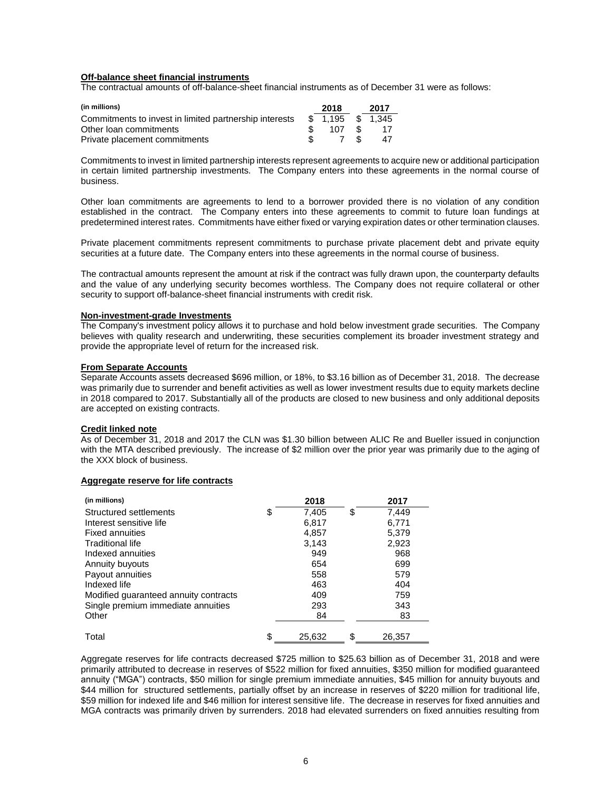#### **Off-balance sheet financial instruments**

The contractual amounts of off-balance-sheet financial instruments as of December 31 were as follows:

| (in millions)                                          | 2018              |      | 2017 |
|--------------------------------------------------------|-------------------|------|------|
| Commitments to invest in limited partnership interests | \$ 1.195 \$ 1.345 |      |      |
| Other loan commitments                                 | 107               | - SS | -17  |
| Private placement commitments                          |                   | - \$ | 47   |

Commitments to invest in limited partnership interests represent agreements to acquire new or additional participation in certain limited partnership investments. The Company enters into these agreements in the normal course of business.

Other loan commitments are agreements to lend to a borrower provided there is no violation of any condition established in the contract. The Company enters into these agreements to commit to future loan fundings at predetermined interest rates. Commitments have either fixed or varying expiration dates or other termination clauses.

Private placement commitments represent commitments to purchase private placement debt and private equity securities at a future date. The Company enters into these agreements in the normal course of business.

The contractual amounts represent the amount at risk if the contract was fully drawn upon, the counterparty defaults and the value of any underlying security becomes worthless. The Company does not require collateral or other security to support off-balance-sheet financial instruments with credit risk.

#### **Non-investment-grade Investments**

The Company's investment policy allows it to purchase and hold below investment grade securities. The Company believes with quality research and underwriting, these securities complement its broader investment strategy and provide the appropriate level of return for the increased risk.

## **From Separate Accounts**

Separate Accounts assets decreased \$696 million, or 18%, to \$3.16 billion as of December 31, 2018. The decrease was primarily due to surrender and benefit activities as well as lower investment results due to equity markets decline in 2018 compared to 2017. Substantially all of the products are closed to new business and only additional deposits are accepted on existing contracts.

## **Credit linked note**

As of December 31, 2018 and 2017 the CLN was \$1.30 billion between ALIC Re and Bueller issued in conjunction with the MTA described previously. The increase of \$2 million over the prior year was primarily due to the aging of the XXX block of business.

#### **Aggregate reserve for life contracts**

| (in millions)                         | 2018         | 2017         |
|---------------------------------------|--------------|--------------|
| Structured settlements                | \$<br>7.405  | \$<br>7.449  |
| Interest sensitive life               | 6,817        | 6,771        |
| <b>Fixed annuities</b>                | 4,857        | 5,379        |
| <b>Traditional life</b>               | 3,143        | 2,923        |
| Indexed annuities                     | 949          | 968          |
| Annuity buyouts                       | 654          | 699          |
| Payout annuities                      | 558          | 579          |
| Indexed life                          | 463          | 404          |
| Modified guaranteed annuity contracts | 409          | 759          |
| Single premium immediate annuities    | 293          | 343          |
| Other                                 | 84           | 83           |
| Total                                 | \$<br>25.632 | \$<br>26.357 |

Aggregate reserves for life contracts decreased \$725 million to \$25.63 billion as of December 31, 2018 and were primarily attributed to decrease in reserves of \$522 million for fixed annuities, \$350 million for modified guaranteed annuity ("MGA") contracts, \$50 million for single premium immediate annuities, \$45 million for annuity buyouts and \$44 million for structured settlements, partially offset by an increase in reserves of \$220 million for traditional life, \$59 million for indexed life and \$46 million for interest sensitive life. The decrease in reserves for fixed annuities and MGA contracts was primarily driven by surrenders. 2018 had elevated surrenders on fixed annuities resulting from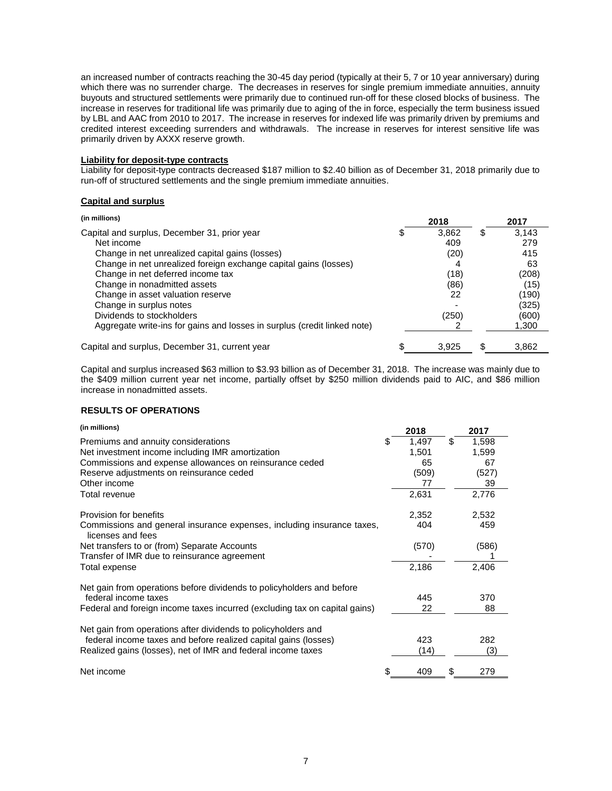an increased number of contracts reaching the 30-45 day period (typically at their 5, 7 or 10 year anniversary) during which there was no surrender charge. The decreases in reserves for single premium immediate annuities, annuity buyouts and structured settlements were primarily due to continued run-off for these closed blocks of business. The increase in reserves for traditional life was primarily due to aging of the in force, especially the term business issued by LBL and AAC from 2010 to 2017. The increase in reserves for indexed life was primarily driven by premiums and credited interest exceeding surrenders and withdrawals. The increase in reserves for interest sensitive life was primarily driven by AXXX reserve growth.

# **Liability for deposit-type contracts**

Liability for deposit-type contracts decreased \$187 million to \$2.40 billion as of December 31, 2018 primarily due to run-off of structured settlements and the single premium immediate annuities.

## **Capital and surplus**

| (in millions)                                                            | 2018  |    | 2017  |
|--------------------------------------------------------------------------|-------|----|-------|
| Capital and surplus, December 31, prior year                             | 3,862 | \$ | 3,143 |
| Net income                                                               | 409   |    | 279   |
| Change in net unrealized capital gains (losses)                          | (20)  |    | 415   |
| Change in net unrealized foreign exchange capital gains (losses)         | 4     |    | 63    |
| Change in net deferred income tax                                        | (18)  |    | (208) |
| Change in nonadmitted assets                                             | (86)  |    | (15)  |
| Change in asset valuation reserve                                        | 22    |    | (190) |
| Change in surplus notes                                                  |       |    | (325) |
| Dividends to stockholders                                                | (250) |    | (600) |
| Aggregate write-ins for gains and losses in surplus (credit linked note) |       |    | 1,300 |
| Capital and surplus, December 31, current year                           | 3.925 | S  | 3,862 |

Capital and surplus increased \$63 million to \$3.93 billion as of December 31, 2018. The increase was mainly due to the \$409 million current year net income, partially offset by \$250 million dividends paid to AIC, and \$86 million increase in nonadmitted assets.

# **RESULTS OF OPERATIONS**

| (in millions)                                                                               |   | 2018  |    | 2017  |
|---------------------------------------------------------------------------------------------|---|-------|----|-------|
| Premiums and annuity considerations                                                         | S | 1,497 | \$ | 1,598 |
| Net investment income including IMR amortization                                            |   | 1,501 |    | 1,599 |
| Commissions and expense allowances on reinsurance ceded                                     |   | 65    |    | 67    |
| Reserve adjustments on reinsurance ceded                                                    |   | (509) |    | (527) |
| Other income                                                                                |   | 77    |    | 39    |
| Total revenue                                                                               |   | 2,631 |    | 2,776 |
| Provision for benefits                                                                      |   | 2,352 |    | 2,532 |
| Commissions and general insurance expenses, including insurance taxes,<br>licenses and fees |   | 404   |    | 459   |
| Net transfers to or (from) Separate Accounts                                                |   | (570) |    | (586) |
| Transfer of IMR due to reinsurance agreement                                                |   |       |    |       |
| Total expense                                                                               |   | 2,186 |    | 2,406 |
| Net gain from operations before dividends to policyholders and before                       |   |       |    |       |
| federal income taxes                                                                        |   | 445   |    | 370   |
| Federal and foreign income taxes incurred (excluding tax on capital gains)                  |   | 22    |    | 88    |
| Net gain from operations after dividends to policyholders and                               |   |       |    |       |
| federal income taxes and before realized capital gains (losses)                             |   | 423   |    | 282   |
| Realized gains (losses), net of IMR and federal income taxes                                |   | (14)  |    | (3)   |
| Net income                                                                                  |   | 409   | S  | 279   |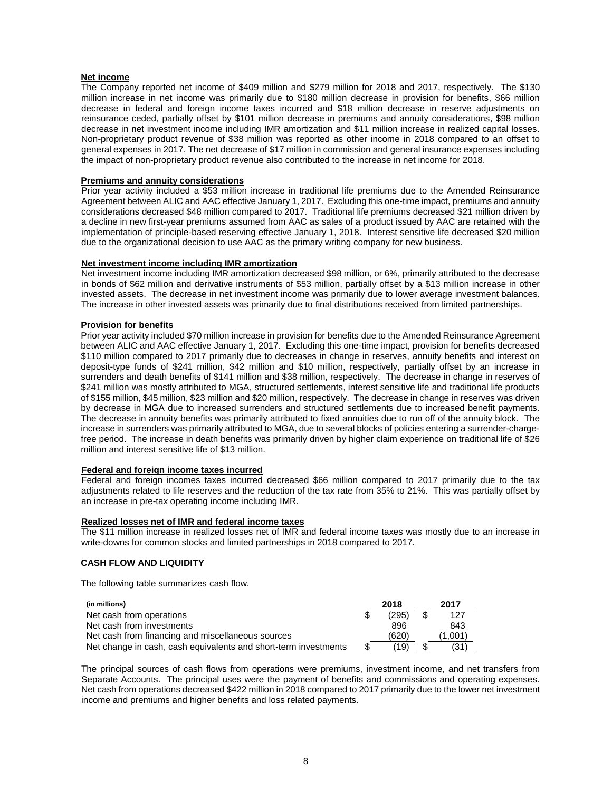# **Net income**

The Company reported net income of \$409 million and \$279 million for 2018 and 2017, respectively. The \$130 million increase in net income was primarily due to \$180 million decrease in provision for benefits, \$66 million decrease in federal and foreign income taxes incurred and \$18 million decrease in reserve adjustments on reinsurance ceded, partially offset by \$101 million decrease in premiums and annuity considerations, \$98 million decrease in net investment income including IMR amortization and \$11 million increase in realized capital losses. Non-proprietary product revenue of \$38 million was reported as other income in 2018 compared to an offset to general expenses in 2017. The net decrease of \$17 million in commission and general insurance expenses including the impact of non-proprietary product revenue also contributed to the increase in net income for 2018.

# **Premiums and annuity considerations**

Prior year activity included a \$53 million increase in traditional life premiums due to the Amended Reinsurance Agreement between ALIC and AAC effective January 1, 2017. Excluding this one-time impact, premiums and annuity considerations decreased \$48 million compared to 2017. Traditional life premiums decreased \$21 million driven by a decline in new first-year premiums assumed from AAC as sales of a product issued by AAC are retained with the implementation of principle-based reserving effective January 1, 2018. Interest sensitive life decreased \$20 million due to the organizational decision to use AAC as the primary writing company for new business.

## **Net investment income including IMR amortization**

Net investment income including IMR amortization decreased \$98 million, or 6%, primarily attributed to the decrease in bonds of \$62 million and derivative instruments of \$53 million, partially offset by a \$13 million increase in other invested assets. The decrease in net investment income was primarily due to lower average investment balances. The increase in other invested assets was primarily due to final distributions received from limited partnerships.

## **Provision for benefits**

Prior year activity included \$70 million increase in provision for benefits due to the Amended Reinsurance Agreement between ALIC and AAC effective January 1, 2017. Excluding this one-time impact, provision for benefits decreased \$110 million compared to 2017 primarily due to decreases in change in reserves, annuity benefits and interest on deposit-type funds of \$241 million, \$42 million and \$10 million, respectively, partially offset by an increase in surrenders and death benefits of \$141 million and \$38 million, respectively. The decrease in change in reserves of \$241 million was mostly attributed to MGA, structured settlements, interest sensitive life and traditional life products of \$155 million, \$45 million, \$23 million and \$20 million, respectively. The decrease in change in reserves was driven by decrease in MGA due to increased surrenders and structured settlements due to increased benefit payments. The decrease in annuity benefits was primarily attributed to fixed annuities due to run off of the annuity block. The increase in surrenders was primarily attributed to MGA, due to several blocks of policies entering a surrender-chargefree period. The increase in death benefits was primarily driven by higher claim experience on traditional life of \$26 million and interest sensitive life of \$13 million.

### **Federal and foreign income taxes incurred**

Federal and foreign incomes taxes incurred decreased \$66 million compared to 2017 primarily due to the tax adjustments related to life reserves and the reduction of the tax rate from 35% to 21%. This was partially offset by an increase in pre-tax operating income including IMR.

# **Realized losses net of IMR and federal income taxes**

The \$11 million increase in realized losses net of IMR and federal income taxes was mostly due to an increase in write-downs for common stocks and limited partnerships in 2018 compared to 2017.

# **CASH FLOW AND LIQUIDITY**

The following table summarizes cash flow.

| (in millions)                                                   | 2018       | 2017    |
|-----------------------------------------------------------------|------------|---------|
| Net cash from operations                                        | (295)      | 127     |
| Net cash from investments                                       | 896        | 843     |
| Net cash from financing and miscellaneous sources               | (620)      | (1.001) |
| Net change in cash, cash equivalents and short-term investments | \$<br>(19) | 31:     |

The principal sources of cash flows from operations were premiums, investment income, and net transfers from Separate Accounts. The principal uses were the payment of benefits and commissions and operating expenses. Net cash from operations decreased \$422 million in 2018 compared to 2017 primarily due to the lower net investment income and premiums and higher benefits and loss related payments.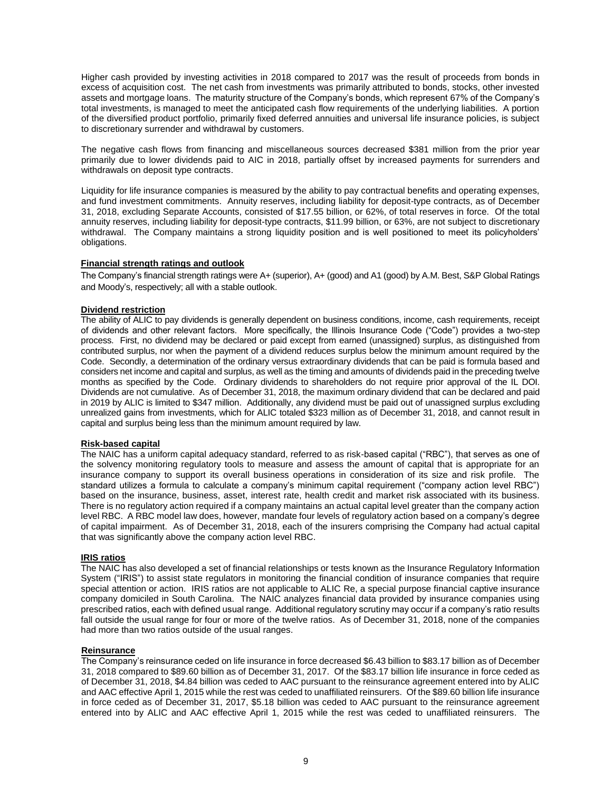Higher cash provided by investing activities in 2018 compared to 2017 was the result of proceeds from bonds in excess of acquisition cost. The net cash from investments was primarily attributed to bonds, stocks, other invested assets and mortgage loans. The maturity structure of the Company's bonds, which represent 67% of the Company's total investments, is managed to meet the anticipated cash flow requirements of the underlying liabilities. A portion of the diversified product portfolio, primarily fixed deferred annuities and universal life insurance policies, is subject to discretionary surrender and withdrawal by customers.

The negative cash flows from financing and miscellaneous sources decreased \$381 million from the prior year primarily due to lower dividends paid to AIC in 2018, partially offset by increased payments for surrenders and withdrawals on deposit type contracts.

Liquidity for life insurance companies is measured by the ability to pay contractual benefits and operating expenses, and fund investment commitments. Annuity reserves, including liability for deposit-type contracts, as of December 31, 2018, excluding Separate Accounts, consisted of \$17.55 billion, or 62%, of total reserves in force. Of the total annuity reserves, including liability for deposit-type contracts, \$11.99 billion, or 63%, are not subject to discretionary withdrawal. The Company maintains a strong liquidity position and is well positioned to meet its policyholders' obligations.

# **Financial strength ratings and outlook**

The Company's financial strength ratings were A+ (superior), A+ (good) and A1 (good) by A.M. Best, S&P Global Ratings and Moody's, respectively; all with a stable outlook.

# **Dividend restriction**

The ability of ALIC to pay dividends is generally dependent on business conditions, income, cash requirements, receipt of dividends and other relevant factors. More specifically, the Illinois Insurance Code ("Code") provides a two-step process. First, no dividend may be declared or paid except from earned (unassigned) surplus, as distinguished from contributed surplus, nor when the payment of a dividend reduces surplus below the minimum amount required by the Code. Secondly, a determination of the ordinary versus extraordinary dividends that can be paid is formula based and considers net income and capital and surplus, as well as the timing and amounts of dividends paid in the preceding twelve months as specified by the Code. Ordinary dividends to shareholders do not require prior approval of the IL DOI. Dividends are not cumulative. As of December 31, 2018, the maximum ordinary dividend that can be declared and paid in 2019 by ALIC is limited to \$347 million. Additionally, any dividend must be paid out of unassigned surplus excluding unrealized gains from investments, which for ALIC totaled \$323 million as of December 31, 2018, and cannot result in capital and surplus being less than the minimum amount required by law.

# **Risk-based capital**

The NAIC has a uniform capital adequacy standard, referred to as risk-based capital ("RBC"), that serves as one of the solvency monitoring regulatory tools to measure and assess the amount of capital that is appropriate for an insurance company to support its overall business operations in consideration of its size and risk profile. The standard utilizes a formula to calculate a company's minimum capital requirement ("company action level RBC") based on the insurance, business, asset, interest rate, health credit and market risk associated with its business. There is no regulatory action required if a company maintains an actual capital level greater than the company action level RBC. A RBC model law does, however, mandate four levels of regulatory action based on a company's degree of capital impairment. As of December 31, 2018, each of the insurers comprising the Company had actual capital that was significantly above the company action level RBC.

#### **IRIS ratios**

The NAIC has also developed a set of financial relationships or tests known as the Insurance Regulatory Information System ("IRIS") to assist state regulators in monitoring the financial condition of insurance companies that require special attention or action. IRIS ratios are not applicable to ALIC Re, a special purpose financial captive insurance company domiciled in South Carolina. The NAIC analyzes financial data provided by insurance companies using prescribed ratios, each with defined usual range. Additional regulatory scrutiny may occur if a company's ratio results fall outside the usual range for four or more of the twelve ratios. As of December 31, 2018, none of the companies had more than two ratios outside of the usual ranges.

#### **Reinsurance**

The Company's reinsurance ceded on life insurance in force decreased \$6.43 billion to \$83.17 billion as of December 31, 2018 compared to \$89.60 billion as of December 31, 2017. Of the \$83.17 billion life insurance in force ceded as of December 31, 2018, \$4.84 billion was ceded to AAC pursuant to the reinsurance agreement entered into by ALIC and AAC effective April 1, 2015 while the rest was ceded to unaffiliated reinsurers. Of the \$89.60 billion life insurance in force ceded as of December 31, 2017, \$5.18 billion was ceded to AAC pursuant to the reinsurance agreement entered into by ALIC and AAC effective April 1, 2015 while the rest was ceded to unaffiliated reinsurers. The